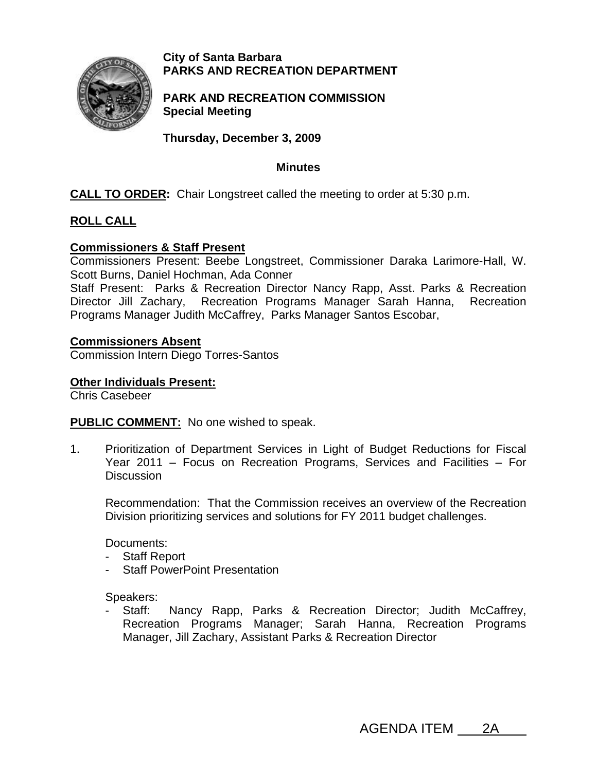

**City of Santa Barbara PARKS AND RECREATION DEPARTMENT**

**PARK AND RECREATION COMMISSION Special Meeting** 

**Thursday, December 3, 2009** 

### **Minutes**

**CALL TO ORDER:** Chair Longstreet called the meeting to order at 5:30 p.m.

# **ROLL CALL**

# **Commissioners & Staff Present**

Commissioners Present: Beebe Longstreet, Commissioner Daraka Larimore-Hall, W. Scott Burns, Daniel Hochman, Ada Conner

Staff Present: Parks & Recreation Director Nancy Rapp, Asst. Parks & Recreation Director Jill Zachary, Recreation Programs Manager Sarah Hanna, Recreation Programs Manager Judith McCaffrey, Parks Manager Santos Escobar,

#### **Commissioners Absent**

Commission Intern Diego Torres-Santos

#### **Other Individuals Present:**

Chris Casebeer

**PUBLIC COMMENT:** No one wished to speak.

1. Prioritization of Department Services in Light of Budget Reductions for Fiscal Year 2011 – Focus on Recreation Programs, Services and Facilities – For **Discussion** 

Recommendation: That the Commission receives an overview of the Recreation Division prioritizing services and solutions for FY 2011 budget challenges.

Documents:

- Staff Report
- Staff PowerPoint Presentation

Speakers:

Staff: Nancy Rapp, Parks & Recreation Director; Judith McCaffrey, Recreation Programs Manager; Sarah Hanna, Recreation Programs Manager, Jill Zachary, Assistant Parks & Recreation Director

AGENDA ITEM 2A